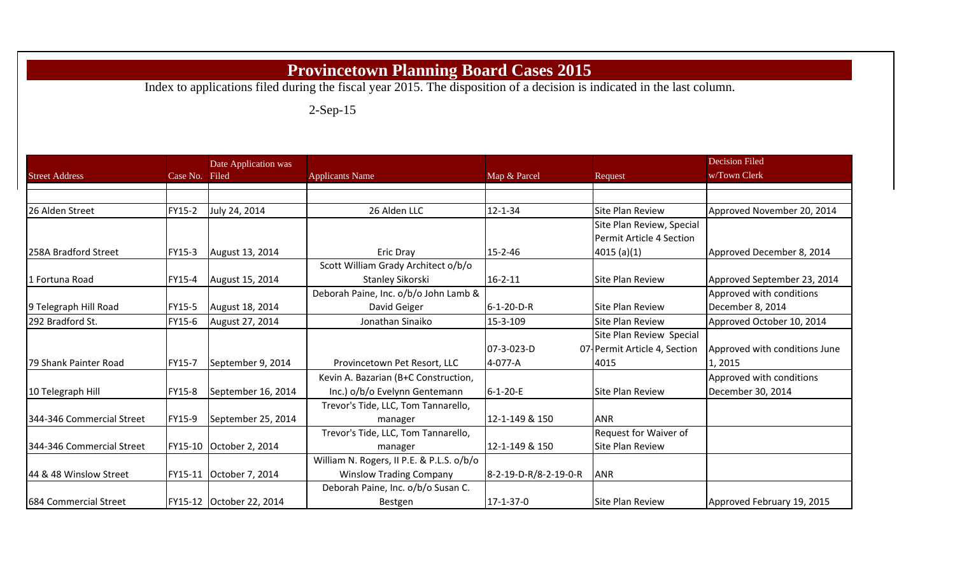## **Provincetown Planning Board Cases 2015**

Index to applications filed during the fiscal year 2015. The disposition of a decision is indicated in the last column.

2-Sep-15

|                             |               | Date Application was     |                                           |                       |                              | <b>Decision Filed</b>         |
|-----------------------------|---------------|--------------------------|-------------------------------------------|-----------------------|------------------------------|-------------------------------|
| <b>Street Address</b>       | Case No.      | Filed                    | <b>Applicants Name</b>                    | Map & Parcel          | Request                      | w/Town Clerk                  |
|                             |               |                          |                                           |                       |                              |                               |
| 26 Alden Street             | FY15-2        | July 24, 2014            | 26 Alden LLC                              | $12 - 1 - 34$         | <b>Site Plan Review</b>      | Approved November 20, 2014    |
|                             |               |                          |                                           |                       | Site Plan Review, Special    |                               |
|                             |               |                          |                                           |                       | Permit Article 4 Section     |                               |
| <b>258A Bradford Street</b> | FY15-3        | August 13, 2014          | Eric Dray                                 | $15 - 2 - 46$         | 4015(a)(1)                   | Approved December 8, 2014     |
|                             |               |                          | Scott William Grady Architect o/b/o       |                       |                              |                               |
| 1 Fortuna Road              | <b>FY15-4</b> | August 15, 2014          | Stanley Sikorski                          | $16 - 2 - 11$         | <b>Site Plan Review</b>      | Approved September 23, 2014   |
|                             |               |                          | Deborah Paine, Inc. o/b/o John Lamb &     |                       |                              | Approved with conditions      |
| 9 Telegraph Hill Road       | <b>FY15-5</b> | August 18, 2014          | David Geiger                              | $6 - 1 - 20 - D - R$  | <b>Site Plan Review</b>      | December 8, 2014              |
| 1292 Bradford St.           | FY15-6        | August 27, 2014          | Jonathan Sinaiko                          | 15-3-109              | <b>Site Plan Review</b>      | Approved October 10, 2014     |
|                             |               |                          |                                           |                       | Site Plan Review Special     |                               |
|                             |               |                          |                                           | 07-3-023-D            | 07-Permit Article 4, Section | Approved with conditions June |
| 79 Shank Painter Road       | FY15-7        | September 9, 2014        | Provincetown Pet Resort, LLC              | 4-077-A               | 4015                         | 1,2015                        |
|                             |               |                          | Kevin A. Bazarian (B+C Construction,      |                       |                              | Approved with conditions      |
| 10 Telegraph Hill           | FY15-8        | September 16, 2014       | Inc.) o/b/o Evelynn Gentemann             | $6 - 1 - 20 - E$      | <b>Site Plan Review</b>      | December 30, 2014             |
|                             |               |                          | Trevor's Tide, LLC, Tom Tannarello,       |                       |                              |                               |
| 344-346 Commercial Street   | FY15-9        | September 25, 2014       | manager                                   | 12-1-149 & 150        | <b>ANR</b>                   |                               |
|                             |               |                          | Trevor's Tide, LLC, Tom Tannarello,       |                       | Request for Waiver of        |                               |
| 344-346 Commercial Street   |               | FY15-10 October 2, 2014  | manager                                   | 12-1-149 & 150        | <b>Site Plan Review</b>      |                               |
|                             |               |                          | William N. Rogers, II P.E. & P.L.S. o/b/o |                       |                              |                               |
| 44 & 48 Winslow Street      |               | FY15-11 October 7, 2014  | <b>Winslow Trading Company</b>            | 8-2-19-D-R/8-2-19-0-R | <b>ANR</b>                   |                               |
|                             |               |                          | Deborah Paine, Inc. o/b/o Susan C.        |                       |                              |                               |
| 684 Commercial Street       |               | FY15-12 October 22, 2014 | Bestgen                                   | $17 - 1 - 37 - 0$     | Site Plan Review             | Approved February 19, 2015    |